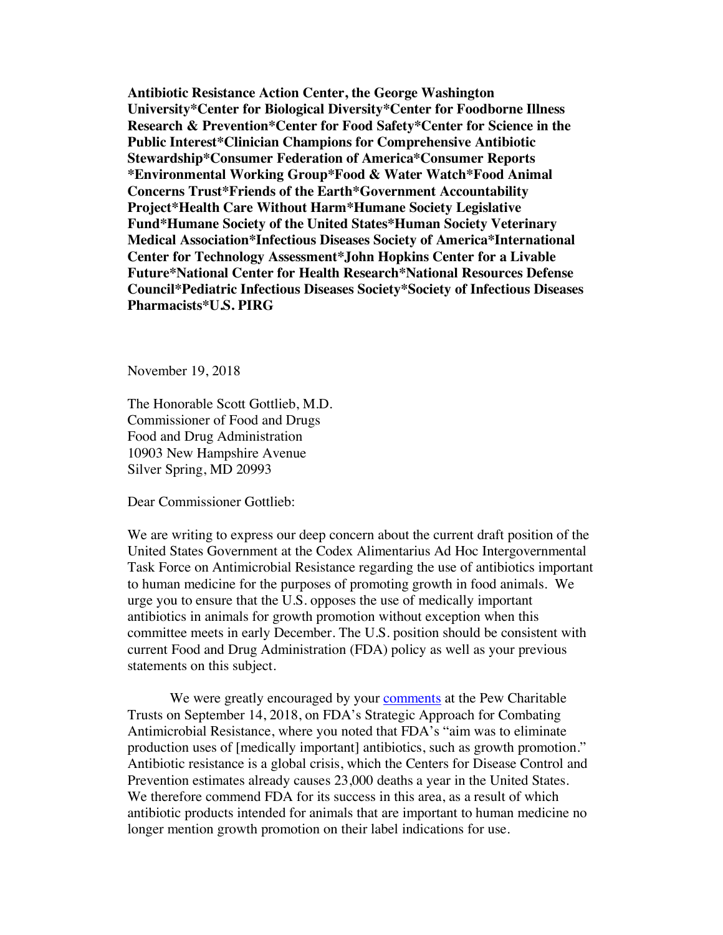**Antibiotic Resistance Action Center, the George Washington University\*Center for Biological Diversity\*Center for Foodborne Illness Research & Prevention\*Center for Food Safety\*Center for Science in the Public Interest\*Clinician Champions for Comprehensive Antibiotic Stewardship\*Consumer Federation of America\*Consumer Reports \*Environmental Working Group\*Food & Water Watch\*Food Animal Concerns Trust\*Friends of the Earth\*Government Accountability Project\*Health Care Without Harm\*Humane Society Legislative Fund\*Humane Society of the United States\*Human Society Veterinary Medical Association\*Infectious Diseases Society of America\*International Center for Technology Assessment\*John Hopkins Center for a Livable Future\*National Center for Health Research\*National Resources Defense Council\*Pediatric Infectious Diseases Society\*Society of Infectious Diseases Pharmacists\*U.S. PIRG**

November 19, 2018

The Honorable Scott Gottlieb, M.D. Commissioner of Food and Drugs Food and Drug Administration 10903 New Hampshire Avenue Silver Spring, MD 20993

Dear Commissioner Gottlieb:

We are writing to express our deep concern about the current draft position of the United States Government at the Codex Alimentarius Ad Hoc Intergovernmental Task Force on Antimicrobial Resistance regarding the use of antibiotics important to human medicine for the purposes of promoting growth in food animals. We urge you to ensure that the U.S. opposes the use of medically important antibiotics in animals for growth promotion without exception when this committee meets in early December. The U.S. position should be consistent with current Food and Drug Administration (FDA) policy as well as your previous statements on this subject.

We were greatly encouraged by your comments at the Pew Charitable Trusts on September 14, 2018, on FDA's Strategic Approach for Combating Antimicrobial Resistance, where you noted that FDA's "aim was to eliminate production uses of [medically important] antibiotics, such as growth promotion." Antibiotic resistance is a global crisis, which the Centers for Disease Control and Prevention estimates already causes 23,000 deaths a year in the United States. We therefore commend FDA for its success in this area, as a result of which antibiotic products intended for animals that are important to human medicine no longer mention growth promotion on their label indications for use.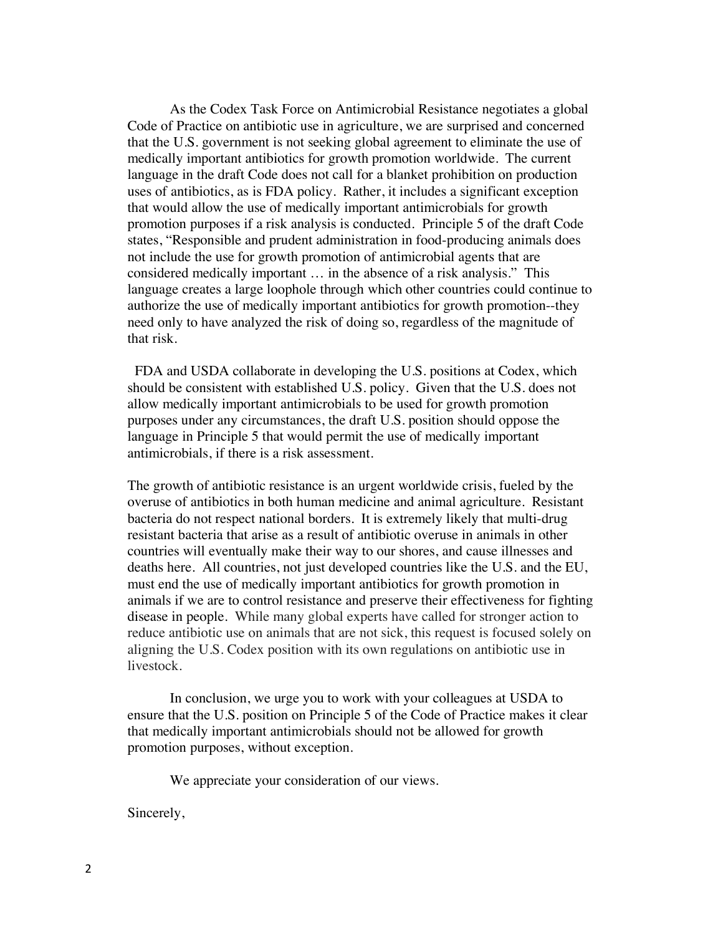As the Codex Task Force on Antimicrobial Resistance negotiates a global Code of Practice on antibiotic use in agriculture, we are surprised and concerned that the U.S. government is not seeking global agreement to eliminate the use of medically important antibiotics for growth promotion worldwide. The current language in the draft Code does not call for a blanket prohibition on production uses of antibiotics, as is FDA policy. Rather, it includes a significant exception that would allow the use of medically important antimicrobials for growth promotion purposes if a risk analysis is conducted. Principle 5 of the draft Code states, "Responsible and prudent administration in food-producing animals does not include the use for growth promotion of antimicrobial agents that are considered medically important … in the absence of a risk analysis." This language creates a large loophole through which other countries could continue to authorize the use of medically important antibiotics for growth promotion--they need only to have analyzed the risk of doing so, regardless of the magnitude of that risk.

 FDA and USDA collaborate in developing the U.S. positions at Codex, which should be consistent with established U.S. policy. Given that the U.S. does not allow medically important antimicrobials to be used for growth promotion purposes under any circumstances, the draft U.S. position should oppose the language in Principle 5 that would permit the use of medically important antimicrobials, if there is a risk assessment.

The growth of antibiotic resistance is an urgent worldwide crisis, fueled by the overuse of antibiotics in both human medicine and animal agriculture. Resistant bacteria do not respect national borders. It is extremely likely that multi-drug resistant bacteria that arise as a result of antibiotic overuse in animals in other countries will eventually make their way to our shores, and cause illnesses and deaths here. All countries, not just developed countries like the U.S. and the EU, must end the use of medically important antibiotics for growth promotion in animals if we are to control resistance and preserve their effectiveness for fighting disease in people. While many global experts have called for stronger action to reduce antibiotic use on animals that are not sick, this request is focused solely on aligning the U.S. Codex position with its own regulations on antibiotic use in livestock.

In conclusion, we urge you to work with your colleagues at USDA to ensure that the U.S. position on Principle 5 of the Code of Practice makes it clear that medically important antimicrobials should not be allowed for growth promotion purposes, without exception.

We appreciate your consideration of our views.

Sincerely,